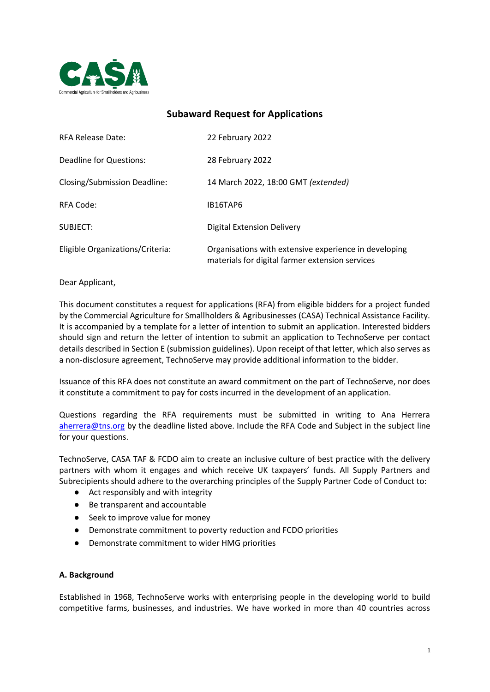

# **Subaward Request for Applications**

| <b>RFA Release Date:</b>         | 22 February 2022                                                                                         |
|----------------------------------|----------------------------------------------------------------------------------------------------------|
| Deadline for Questions:          | 28 February 2022                                                                                         |
| Closing/Submission Deadline:     | 14 March 2022, 18:00 GMT (extended)                                                                      |
| RFA Code:                        | IB16TAP6                                                                                                 |
| SUBJECT:                         | <b>Digital Extension Delivery</b>                                                                        |
| Eligible Organizations/Criteria: | Organisations with extensive experience in developing<br>materials for digital farmer extension services |

### Dear Applicant,

This document constitutes a request for applications (RFA) from eligible bidders for a project funded by the Commercial Agriculture for Smallholders & Agribusinesses (CASA) Technical Assistance Facility. It is accompanied by a template for a letter of intention to submit an application. Interested bidders should sign and return the letter of intention to submit an application to TechnoServe per contact details described in Section E (submission guidelines). Upon receipt of that letter, which also serves as a non-disclosure agreement, TechnoServe may provide additional information to the bidder.

Issuance of this RFA does not constitute an award commitment on the part of TechnoServe, nor does it constitute a commitment to pay for costs incurred in the development of an application.

Questions regarding the RFA requirements must be submitted in writing to Ana Herrera [aherrera@tns.org](mailto:aherrera@tns.org) by the deadline listed above. Include the RFA Code and Subject in the subject line for your questions.

TechnoServe, CASA TAF & FCDO aim to create an inclusive culture of best practice with the delivery partners with whom it engages and which receive UK taxpayers' funds. All Supply Partners and Subrecipients should adhere to the overarching principles of the Supply Partner Code of Conduct to:

- Act responsibly and with integrity
- Be transparent and accountable
- Seek to improve value for money
- Demonstrate commitment to poverty reduction and FCDO priorities
- Demonstrate commitment to wider HMG priorities

#### **A. Background**

Established in 1968, TechnoServe works with enterprising people in the developing world to build competitive farms, businesses, and industries. We have worked in more than 40 countries across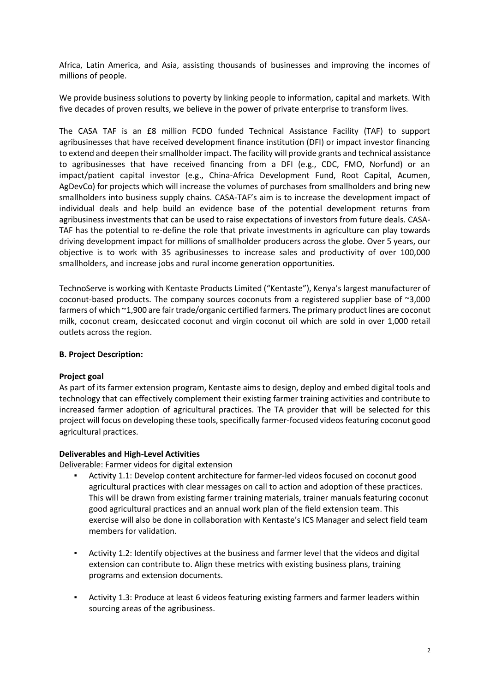Africa, Latin America, and Asia, assisting thousands of businesses and improving the incomes of millions of people.

We provide business solutions to poverty by linking people to information, capital and markets. With five decades of proven results, we believe in the power of private enterprise to transform lives.

The CASA TAF is an £8 million FCDO funded Technical Assistance Facility (TAF) to support agribusinesses that have received development finance institution (DFI) or impact investor financing to extend and deepen their smallholder impact. The facility will provide grants and technical assistance to agribusinesses that have received financing from a DFI (e.g., CDC, FMO, Norfund) or an impact/patient capital investor (e.g., China-Africa Development Fund, Root Capital, Acumen, AgDevCo) for projects which will increase the volumes of purchases from smallholders and bring new smallholders into business supply chains. CASA-TAF's aim is to increase the development impact of individual deals and help build an evidence base of the potential development returns from agribusiness investments that can be used to raise expectations of investors from future deals. CASA-TAF has the potential to re-define the role that private investments in agriculture can play towards driving development impact for millions of smallholder producers across the globe. Over 5 years, our objective is to work with 35 agribusinesses to increase sales and productivity of over 100,000 smallholders, and increase jobs and rural income generation opportunities.

TechnoServe is working with Kentaste Products Limited ("Kentaste"), Kenya's largest manufacturer of coconut-based products. The company sources coconuts from a registered supplier base of ~3,000 farmers of which ~1,900 are fair trade/organic certified farmers. The primary product lines are coconut milk, coconut cream, desiccated coconut and virgin coconut oil which are sold in over 1,000 retail outlets across the region.

#### **B. Project Description:**

### **Project goal**

As part of its farmer extension program, Kentaste aims to design, deploy and embed digital tools and technology that can effectively complement their existing farmer training activities and contribute to increased farmer adoption of agricultural practices. The TA provider that will be selected for this project will focus on developing these tools, specifically farmer-focused videos featuring coconut good agricultural practices.

#### **Deliverables and High-Level Activities**

Deliverable: Farmer videos for digital extension

- Activity 1.1: Develop content architecture for farmer-led videos focused on coconut good agricultural practices with clear messages on call to action and adoption of these practices. This will be drawn from existing farmer training materials, trainer manuals featuring coconut good agricultural practices and an annual work plan of the field extension team. This exercise will also be done in collaboration with Kentaste's ICS Manager and select field team members for validation.
- Activity 1.2: Identify objectives at the business and farmer level that the videos and digital extension can contribute to. Align these metrics with existing business plans, training programs and extension documents.
- Activity 1.3: Produce at least 6 videos featuring existing farmers and farmer leaders within sourcing areas of the agribusiness.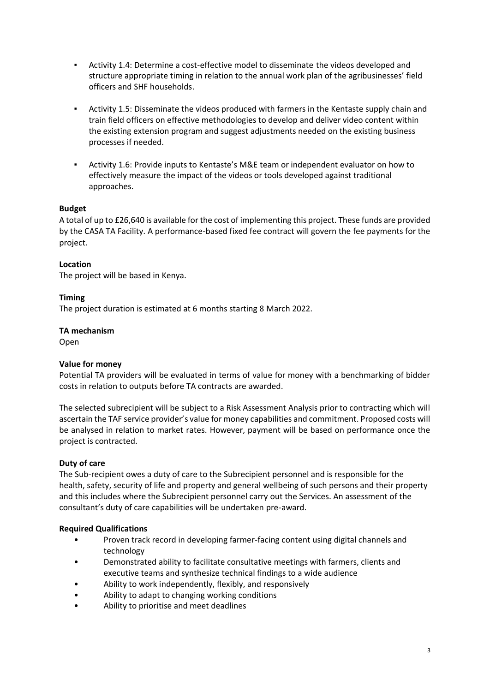- Activity 1.4: Determine a cost-effective model to disseminate the videos developed and structure appropriate timing in relation to the annual work plan of the agribusinesses' field officers and SHF households.
- Activity 1.5: Disseminate the videos produced with farmers in the Kentaste supply chain and train field officers on effective methodologies to develop and deliver video content within the existing extension program and suggest adjustments needed on the existing business processes if needed.
- Activity 1.6: Provide inputs to Kentaste's M&E team or independent evaluator on how to effectively measure the impact of the videos or tools developed against traditional approaches.

# **Budget**

A total of up to £26,640 is available for the cost of implementing this project. These funds are provided by the CASA TA Facility. A performance-based fixed fee contract will govern the fee payments for the project.

### **Location**

The project will be based in Kenya.

### **Timing**

The project duration is estimated at 6 months starting 8 March 2022.

#### **TA mechanism**

Open

#### **Value for money**

Potential TA providers will be evaluated in terms of value for money with a benchmarking of bidder costs in relation to outputs before TA contracts are awarded.

The selected subrecipient will be subject to a Risk Assessment Analysis prior to contracting which will ascertain the TAF service provider's value for money capabilities and commitment. Proposed costs will be analysed in relation to market rates. However, payment will be based on performance once the project is contracted.

#### **Duty of care**

The Sub-recipient owes a duty of care to the Subrecipient personnel and is responsible for the health, safety, security of life and property and general wellbeing of such persons and their property and this includes where the Subrecipient personnel carry out the Services. An assessment of the consultant's duty of care capabilities will be undertaken pre-award.

#### **Required Qualifications**

- Proven track record in developing farmer-facing content using digital channels and technology
- Demonstrated ability to facilitate consultative meetings with farmers, clients and executive teams and synthesize technical findings to a wide audience
- Ability to work independently, flexibly, and responsively
- Ability to adapt to changing working conditions
- Ability to prioritise and meet deadlines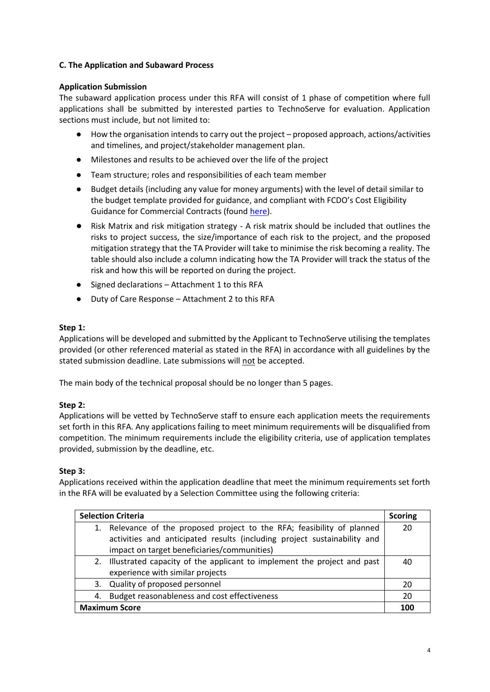# **C. The Application and Subaward Process**

# **Application Submission**

The subaward application process under this RFA will consist of 1 phase of competition where full applications shall be submitted by interested parties to TechnoServe for evaluation. Application sections must include, but not limited to:

- How the organisation intends to carry out the project proposed approach, actions/activities and timelines, and project/stakeholder management plan.
- Milestones and results to be achieved over the life of the project
- Team structure; roles and responsibilities of each team member
- Budget details (including any value for money arguments) with the level of detail similar to the budget template provided for guidance, and compliant with FCDO's Cost Eligibility Guidance for Commercial Contracts (found [here\)](https://assets.publishing.service.gov.uk/government/uploads/system/uploads/attachment_data/file/888316/Eligible-Cost-Policy-28May2020.pdf).
- Risk Matrix and risk mitigation strategy A risk matrix should be included that outlines the risks to project success, the size/importance of each risk to the project, and the proposed mitigation strategy that the TA Provider will take to minimise the risk becoming a reality. The table should also include a column indicating how the TA Provider will track the status of the risk and how this will be reported on during the project.
- Signed declarations Attachment 1 to this RFA
- Duty of Care Response Attachment 2 to this RFA

# **Step 1:**

Applications will be developed and submitted by the Applicant to TechnoServe utilising the templates provided (or other referenced material as stated in the RFA) in accordance with all guidelines by the stated submission deadline. Late submissions will not be accepted.

The main body of the technical proposal should be no longer than 5 pages.

# **Step 2:**

Applications will be vetted by TechnoServe staff to ensure each application meets the requirements set forth in this RFA. Any applications failing to meet minimum requirements will be disqualified from competition. The minimum requirements include the eligibility criteria, use of application templates provided, submission by the deadline, etc.

# **Step 3:**

Applications received within the application deadline that meet the minimum requirements set forth in the RFA will be evaluated by a Selection Committee using the following criteria:

| <b>Selection Criteria</b> |                                                                                                                                                                                                    | <b>Scoring</b> |
|---------------------------|----------------------------------------------------------------------------------------------------------------------------------------------------------------------------------------------------|----------------|
|                           | 1. Relevance of the proposed project to the RFA; feasibility of planned<br>activities and anticipated results (including project sustainability and<br>impact on target beneficiaries/communities) | 20             |
|                           | 2. Illustrated capacity of the applicant to implement the project and past<br>experience with similar projects                                                                                     | 40             |
|                           | 3. Quality of proposed personnel                                                                                                                                                                   | 20             |
| 4.                        | Budget reasonableness and cost effectiveness                                                                                                                                                       | 20             |
|                           | <b>Maximum Score</b>                                                                                                                                                                               |                |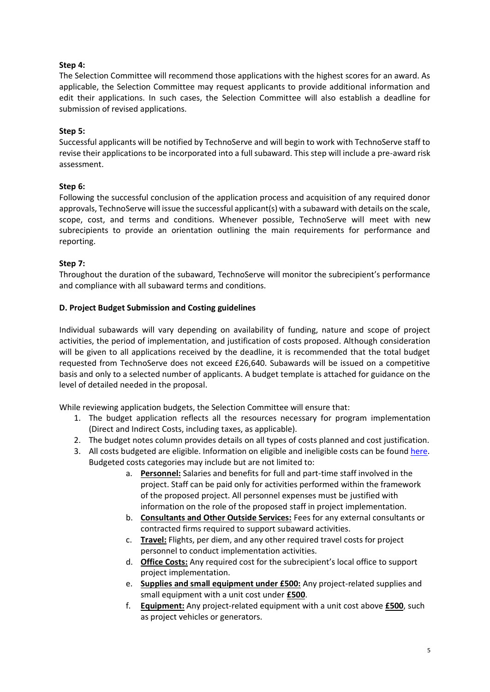# **Step 4:**

The Selection Committee will recommend those applications with the highest scores for an award. As applicable, the Selection Committee may request applicants to provide additional information and edit their applications. In such cases, the Selection Committee will also establish a deadline for submission of revised applications.

# **Step 5:**

Successful applicants will be notified by TechnoServe and will begin to work with TechnoServe staff to revise their applications to be incorporated into a full subaward. This step will include a pre-award risk assessment.

# **Step 6:**

Following the successful conclusion of the application process and acquisition of any required donor approvals, TechnoServe will issue the successful applicant(s) with a subaward with details on the scale, scope, cost, and terms and conditions. Whenever possible, TechnoServe will meet with new subrecipients to provide an orientation outlining the main requirements for performance and reporting.

### **Step 7:**

Throughout the duration of the subaward, TechnoServe will monitor the subrecipient's performance and compliance with all subaward terms and conditions.

### **D. Project Budget Submission and Costing guidelines**

Individual subawards will vary depending on availability of funding, nature and scope of project activities, the period of implementation, and justification of costs proposed. Although consideration will be given to all applications received by the deadline, it is recommended that the total budget requested from TechnoServe does not exceed £26,640. Subawards will be issued on a competitive basis and only to a selected number of applicants. A budget template is attached for guidance on the level of detailed needed in the proposal.

While reviewing application budgets, the Selection Committee will ensure that:

- 1. The budget application reflects all the resources necessary for program implementation (Direct and Indirect Costs, including taxes, as applicable).
- 2. The budget notes column provides details on all types of costs planned and cost justification.
- 3. All costs budgeted are eligible. Information on eligible and ineligible costs can be found [here.](https://assets.publishing.service.gov.uk/government/uploads/system/uploads/attachment_data/file/888316/Eligible-Cost-Policy-28May2020.pdf) Budgeted costs categories may include but are not limited to:
	- a. **Personnel:** Salaries and benefits for full and part-time staff involved in the project. Staff can be paid only for activities performed within the framework of the proposed project. All personnel expenses must be justified with information on the role of the proposed staff in project implementation.
	- b. **Consultants and Other Outside Services:** Fees for any external consultants or contracted firms required to support subaward activities.
	- c. **Travel:** Flights, per diem, and any other required travel costs for project personnel to conduct implementation activities.
	- d. **Office Costs:** Any required cost for the subrecipient's local office to support project implementation.
	- e. **Supplies and small equipment under £500:** Any project-related supplies and small equipment with a unit cost under **£500**.
	- f. **Equipment:** Any project-related equipment with a unit cost above **£500**, such as project vehicles or generators.